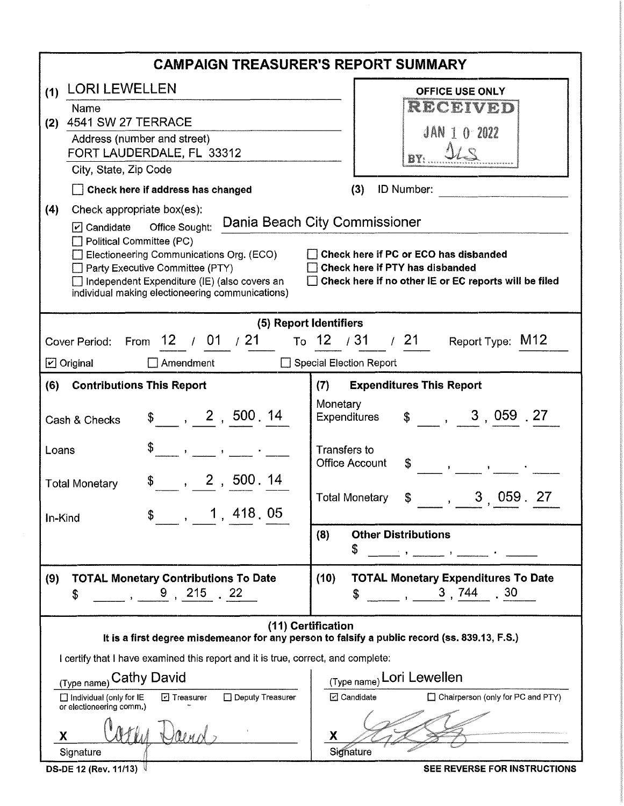| <b>CAMPAIGN TREASURER'S REPORT SUMMARY</b>                                                                          |                                                                        |  |  |  |  |
|---------------------------------------------------------------------------------------------------------------------|------------------------------------------------------------------------|--|--|--|--|
| <b>LORI LEWELLEN</b><br>(1)                                                                                         | <b>OFFICE USE ONLY</b>                                                 |  |  |  |  |
| Name<br><b>4541 SW 27 TERRACE</b>                                                                                   | RECEIVED                                                               |  |  |  |  |
| (2)<br>Address (number and street)                                                                                  | $JAN$ 1 0 2022                                                         |  |  |  |  |
| FORT LAUDERDALE, FL 33312                                                                                           |                                                                        |  |  |  |  |
| City, State, Zip Code                                                                                               |                                                                        |  |  |  |  |
| Check here if address has changed                                                                                   | (3)<br>ID Number:                                                      |  |  |  |  |
| (4)<br>Check appropriate box(es):<br>☑ Candidate Office Sought:                                                     | Dania Beach City Commissioner                                          |  |  |  |  |
| Political Committee (PC)<br>Electioneering Communications Org. (ECO)                                                | Check here if PC or ECO has disbanded                                  |  |  |  |  |
| Party Executive Committee (PTY)<br>Independent Expenditure (IE) (also covers an                                     | Check here if PTY has disbanded                                        |  |  |  |  |
| individual making electioneering communications)                                                                    | □ Check here if no other IE or EC reports will be filed                |  |  |  |  |
|                                                                                                                     | (5) Report Identifiers                                                 |  |  |  |  |
| 12 / 01 / 21<br>Cover Period:<br>From                                                                               | To 12 / 31 / 21<br>Report Type: M12                                    |  |  |  |  |
| $\boxdot$ Original<br>Amendment                                                                                     | Special Election Report                                                |  |  |  |  |
| <b>Contributions This Report</b><br><b>Expenditures This Report</b><br>(6)<br>(7)                                   |                                                                        |  |  |  |  |
| $\frac{1}{2}$ , 2, 500.14<br>Cash & Checks                                                                          | Monetary<br>$\frac{1}{2}$ , 3, 059 .27<br>Expenditures                 |  |  |  |  |
| Loans<br>and the state of the state of the state of                                                                 | Transfers to<br><b>Office Account</b><br>\$                            |  |  |  |  |
| , 2, 500.14<br><b>Total Monetary</b><br>, 1, 418, 05                                                                | 3,059.27<br><b>Total Monetary</b><br>\$                                |  |  |  |  |
| In-Kind                                                                                                             | (8)<br><b>Other Distributions</b>                                      |  |  |  |  |
|                                                                                                                     | \$<br><u> 19 Januari - Johann Alexandr III (m. 188</u>                 |  |  |  |  |
| (9)<br><b>TOTAL Monetary Contributions To Date</b><br>9, 215, 22<br>\$                                              | <b>TOTAL Monetary Expenditures To Date</b><br>(10)<br>$\sim$ 3, 744 30 |  |  |  |  |
| (11) Certification<br>It is a first degree misdemeanor for any person to falsify a public record (ss. 839.13, F.S.) |                                                                        |  |  |  |  |
| I certify that I have examined this report and it is true, correct, and complete:                                   |                                                                        |  |  |  |  |
| <sub>(Type name)</sub> Cathy David                                                                                  | (Type name) Lori Lewellen                                              |  |  |  |  |
| Deputy Treasurer<br>$\Box$ Individual (only for IE<br>$\boxdot$ Treasurer<br>or electioneering comm.)               | ⊡ Candidate<br>$\Box$ Chairperson (only for PC and PTY)                |  |  |  |  |
| Signature                                                                                                           | Х<br>Signature                                                         |  |  |  |  |
|                                                                                                                     |                                                                        |  |  |  |  |

SEE REVERSE FOR INSTRUCTIONS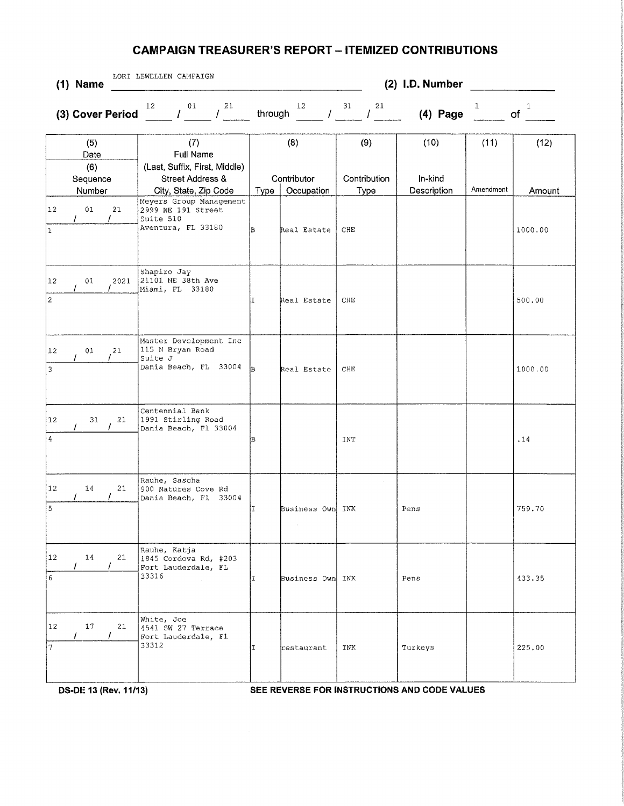## **CAMPAIGN TREASURER'S REPORT - ITEMIZED CONTRIBUTIONS**

| LORI LEWELLEN CAMPAIGN<br>$(1)$ Name                       |                                                                                                                                                 |                                          | (2) I.D. Number             |                                |                   |                    |
|------------------------------------------------------------|-------------------------------------------------------------------------------------------------------------------------------------------------|------------------------------------------|-----------------------------|--------------------------------|-------------------|--------------------|
| (3) Cover Period                                           | 21<br>12 <sup>°</sup><br>01<br>$\mathcal{L}$ and $\mathcal{L}$<br>T                                                                             | 12<br>through                            | 31<br>21<br>$\prime$        | $(4)$ Page                     | 1                 | $\mathbf{1}$<br>of |
| (5)<br>Date<br>(6)<br>Sequence<br>Number<br>12<br>01<br>21 | (7)<br>Full Name<br>(Last, Suffix, First, Middle)<br>Street Address &<br>City, State, Zip Code<br>Meyers Group Management<br>2999 NE 191 Street | (8)<br>Contributor<br>Occupation<br>Type | (9)<br>Contribution<br>Type | (10)<br>In-kind<br>Description | (11)<br>Amendment | (12)<br>Amount     |
| $\prime$<br>1                                              | Suite 510<br>Aventura, FL 33180                                                                                                                 | lв<br>Real Estate                        | CHE                         |                                |                   | 1000.00            |
| 12<br>01<br>2021<br>$\overline{2}$                         | Shapiro Jay<br>21101 NE 38th Ave<br>Miami, FL 33180                                                                                             | Real Estate<br>T                         | CHE                         |                                |                   | 500.00             |
| 01<br>12<br>21<br>3                                        | Master Development Inc<br>115 N Bryan Road<br>Suite J<br>Dania Beach, FL 33004                                                                  | lв<br>Real Estate                        | CHE                         |                                |                   | 1000.00            |
| $ 12\rangle$<br>31<br>21<br>$\bf 4$                        | Centennial Bank<br>1991 Stirling Road<br>Dania Beach, Fl 33004                                                                                  | B                                        | INT                         |                                |                   | .14                |
| $ 12\rangle$<br>21<br>14<br>$\overline{5}$                 | Rauhe, Sascha<br>900 Natures Cove Rd<br>Dania Beach, Fl 33004                                                                                   | Business Own<br>II                       | INK                         | Pens                           |                   | 759.70             |
| 12 <br>14<br>21<br>6                                       | Rauhe, Katja<br>1845 Cordova Rd, #203<br>Fort Lauderdale, FL<br>33316                                                                           | Business Own INK<br>ΙT                   |                             | Pens                           |                   | 433.35             |
| $ 12\rangle$<br>17<br>21<br>7<br>$\overline{7}$            | White, Joe<br>4541 SW 27 Terrace<br>Fort Lauderdale, Fl<br>33312                                                                                | ΙI<br>restaurant                         | INK                         | Turkeys                        |                   | 225.00             |

DS-DE 13 (Rev. 11/13) SEE REVERSE FOR INSTRUCTIONS AND CODE VALUES

 $\sim$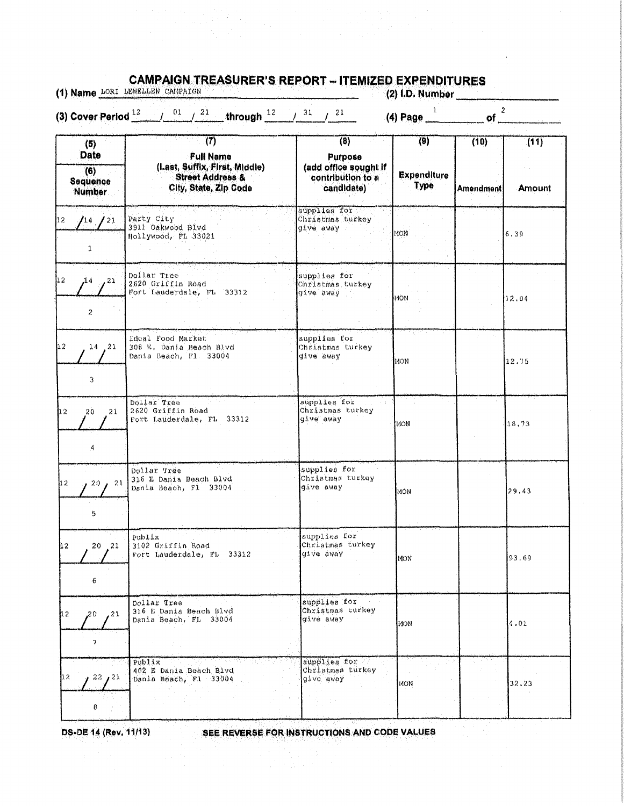|                                                        | (3) Cover Period $\frac{12}{2}$ / $\frac{01}{2}$ / $\frac{21}{2}$ through $\frac{12}{2}$ / $\frac{31}{2}$ / $\frac{21}{2}$ |                                                                                         | (4) Page $\frac{1}{2}$ of $\frac{2}{2}$ |                   |                       |
|--------------------------------------------------------|----------------------------------------------------------------------------------------------------------------------------|-----------------------------------------------------------------------------------------|-----------------------------------------|-------------------|-----------------------|
| (5)<br>Date<br>(6)<br><b>Sequence</b><br><b>Number</b> | (7)<br><b>Full Name</b><br>(Last, Suffix, First, Middle)<br><b>Street Address &amp;</b><br>City, State, Zip Code           | $\overline{(8)}$<br>Purpose<br>(add office sought if<br>contribution to a<br>candidate) | (9)<br><b>Expenditure</b><br>Type       | (10)<br>Amendment | (11)<br><b>Amount</b> |
| 14/21<br>ı                                             | Party City<br>3911 Oakwood Blvd<br>Hollywood, FL 33021                                                                     | supplies for<br>Christmas turkey<br>give away                                           | MON <sub>1</sub>                        |                   | 6.39                  |
| ,14,21<br>$\overline{2}$                               | Dollar Tree<br>2620 Griffin Road<br>Fort Lauderdale, FL 33312                                                              | supplies for<br>Christmas turkey<br>give away                                           | 14QN                                    |                   | 12.04                 |
| $14$ 21<br>3                                           | Ideal Food Market<br>308 E. Dania Beach Blvd<br>Dania Beach, Fl. 33004                                                     | supplies for<br>Christmas turkey<br>give away                                           | 140N                                    |                   | 12.75                 |
| 21<br>20<br>$\mathcal{A}$                              | Dollar Tree<br>2620 Griffin Road<br>Fort Lauderdale, FL 33312                                                              | supplies for<br>Christmas turkey<br>give away                                           | IMON.                                   |                   | 18,73                 |
| 20, 21<br>5                                            | Dollar Tree<br>316 E Dania Beach Blvd<br>Dania Beach, Fl. 33004                                                            | supplies for<br>Christmas turkey<br>give away                                           | 110N                                    |                   | 29.43                 |
| 20 21<br>6                                             | Publix<br>3102 Griffin Road<br>Fort Lauderdale, FL 33312                                                                   | supplies for<br>Christmas turkey<br>give away                                           | MON                                     |                   | 93,69                 |
| , 21<br>,20<br>7                                       | Dollar Tree<br>316 E Dania Beach Blvd<br>Dania Beach, FL 33004                                                             | supplies for<br>Christmas turkey<br>give away                                           | MON                                     |                   | 4.01                  |
| 22, 21                                                 | Publix<br>402 E Dania Beach Blyd<br>Dania Beach, Fl. 33004                                                                 | supplies for<br>Christmas turkey<br>give away                                           | 11ON.                                   |                   | 32.23                 |
| 8                                                      |                                                                                                                            |                                                                                         |                                         |                   |                       |

THE PROPERTY IN CONTRACTOR CONTRACTOR

A STRAINT THE LAURENCE BESARD